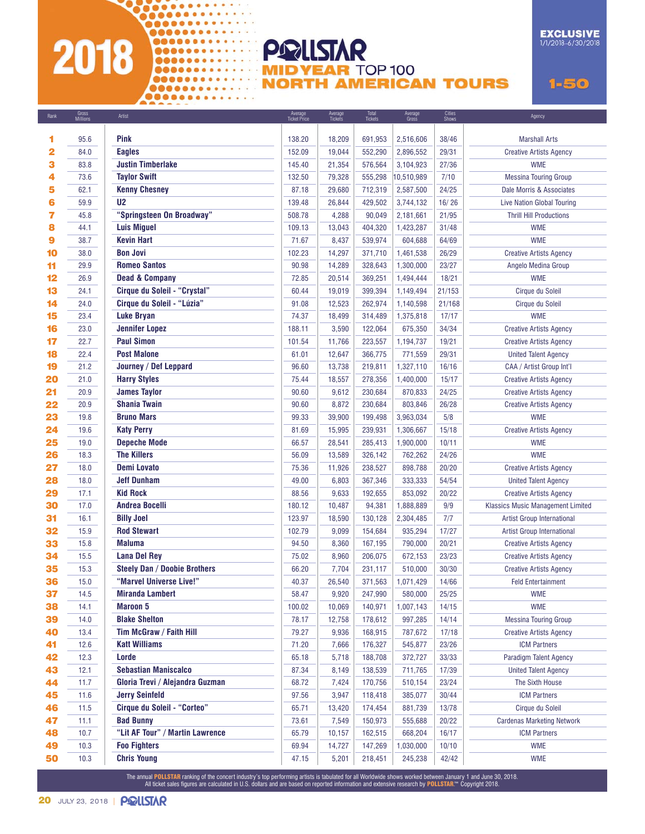# 22333333333 2018

............

 $\n **①0000000000000000000**$ 

00000000000000  $$ 

00000000000000 0000000000000000

#### **POLLSTAR MIDYEAR TOP 100 NORTH AMERICAN TOURS**

 $1 - 50$ 

**EXCLUSIVE** 

1/1/2018-6/30/2018

| Rank | Gross<br>Millions | Artist                              | Average<br>Ticket Price | Average<br>Tickets | Total<br>Tickets | Average<br>Gross | Cities<br>Shows | Agency                                   |
|------|-------------------|-------------------------------------|-------------------------|--------------------|------------------|------------------|-----------------|------------------------------------------|
|      |                   |                                     |                         |                    |                  |                  |                 |                                          |
| 1    | 95.6              | Pink                                | 138.20                  | 18,209             | 691,953          | 2,516,606        | 38/46           | <b>Marshall Arts</b>                     |
| 2    | 84.0              | <b>Eagles</b>                       | 152.09                  | 19,044             | 552,290          | 2,896,552        | 29/31           | <b>Creative Artists Agency</b>           |
| з    | 83.8              | <b>Justin Timberlake</b>            | 145.40                  | 21,354             | 576,564          | 3,104,923        | 27/36           | <b>WME</b>                               |
| 4    | 73.6              | <b>Taylor Swift</b>                 | 132.50                  | 79,328             | 555,298          | 10,510,989       | 7/10            | <b>Messina Touring Group</b>             |
| 5    | 62.1              | <b>Kenny Chesney</b>                | 87.18                   | 29,680             | 712,319          | 2,587,500        | 24/25           | Dale Morris & Associates                 |
| 6    | 59.9              | U <sub>2</sub>                      | 139.48                  | 26,844             | 429,502          | 3,744,132        | 16/26           | <b>Live Nation Global Touring</b>        |
| 7    | 45.8              | "Springsteen On Broadway"           | 508.78                  | 4,288              | 90,049           | 2,181,661        | 21/95           | <b>Thrill Hill Productions</b>           |
| 8    | 44.1              | <b>Luis Miguel</b>                  | 109.13                  | 13,043             | 404,320          | 1,423,287        | 31/48           | <b>WME</b>                               |
| 9    | 38.7              | Kevin Hart                          | 71.67                   | 8,437              | 539,974          | 604,688          | 64/69           | <b>WME</b>                               |
| 10   | 38.0              | <b>Bon Jovi</b>                     | 102.23                  | 14,297             | 371,710          | 1,461,538        | 26/29           | <b>Creative Artists Agency</b>           |
| 11   | 29.9              | <b>Romeo Santos</b>                 | 90.98                   | 14,289             | 328,643          | 1,300,000        | 23/27           | Angelo Medina Group                      |
| 12   | 26.9              | <b>Dead &amp; Company</b>           | 72.85                   | 20,514             | 369,251          | 1,494,444        | 18/21           | <b>WME</b>                               |
| 13   | 24.1              | Cirque du Soleil - "Crystal"        | 60.44                   | 19,019             | 399,394          | 1,149,494        | 21/153          | Cirque du Soleil                         |
| 14   | 24.0              | Cirque du Soleil - "Lúzia"          | 91.08                   | 12,523             | 262,974          | 1,140,598        | 21/168          | Cirque du Soleil                         |
| 15   | 23.4              | <b>Luke Bryan</b>                   | 74.37                   | 18,499             | 314,489          | 1,375,818        | 17/17           | <b>WME</b>                               |
| 16   | 23.0              | <b>Jennifer Lopez</b>               | 188.11                  | 3,590              | 122,064          | 675,350          | 34/34           | <b>Creative Artists Agency</b>           |
| 17   | 22.7              | <b>Paul Simon</b>                   | 101.54                  | 11,766             | 223,557          | 1,194,737        | 19/21           | <b>Creative Artists Agency</b>           |
| 18   | 22.4              | <b>Post Malone</b>                  | 61.01                   | 12,647             | 366,775          | 771,559          | 29/31           | <b>United Talent Agency</b>              |
| 19   | 21.2              | Journey / Def Leppard               | 96.60                   | 13,738             | 219,811          | 1,327,110        | 16/16           | CAA / Artist Group Int'l                 |
| 20   | 21.0              | <b>Harry Styles</b>                 | 75.44                   | 18,557             | 278,356          | 1,400,000        | 15/17           | <b>Creative Artists Agency</b>           |
| 21   | 20.9              | <b>James Taylor</b>                 | 90.60                   | 9,612              | 230,684          | 870,833          | 24/25           | <b>Creative Artists Agency</b>           |
| 22   | 20.9              | <b>Shania Twain</b>                 | 90.60                   | 8,872              | 230,684          | 803,846          | 26/28           | <b>Creative Artists Agency</b>           |
| 23   | 19.8              | <b>Bruno Mars</b>                   | 99.33                   | 39,900             | 199,498          | 3,963,034        | 5/8             | <b>WME</b>                               |
| 24   | 19.6              | <b>Katy Perry</b>                   | 81.69                   | 15,995             | 239,931          | 1,306,667        | 15/18           | <b>Creative Artists Agency</b>           |
| 25   | 19.0              | <b>Depeche Mode</b>                 | 66.57                   | 28,541             | 285,413          | 1,900,000        | 10/11           | <b>WME</b>                               |
| 26   | 18.3              | <b>The Killers</b>                  | 56.09                   | 13,589             | 326,142          | 762,262          | 24/26           | <b>WME</b>                               |
| 27   | 18.0              | <b>Demi Lovato</b>                  | 75.36                   | 11,926             | 238,527          | 898,788          | 20/20           | <b>Creative Artists Agency</b>           |
| 28   | 18.0              | <b>Jeff Dunham</b>                  | 49.00                   | 6,803              | 367,346          | 333,333          | 54/54           | <b>United Talent Agency</b>              |
| 29   | 17.1              | <b>Kid Rock</b>                     | 88.56                   | 9,633              | 192,655          | 853,092          | 20/22           | <b>Creative Artists Agency</b>           |
| 30   | 17.0              | <b>Andrea Bocelli</b>               | 180.12                  | 10,487             | 94,381           | 1,888,889        | 9/9             | <b>Klassics Music Management Limited</b> |
| 31   | 16.1              | <b>Billy Joel</b>                   | 123.97                  | 18,590             | 130,128          | 2,304,485        | 7/7             | Artist Group International               |
| 32   | 15.9              | <b>Rod Stewart</b>                  | 102.79                  | 9,099              | 154,684          | 935,294          | 17/27           | Artist Group International               |
| 33   | 15.8              | <b>Maluma</b>                       | 94.50                   | 8,360              | 167,195          | 790,000          | 20/21           | <b>Creative Artists Agency</b>           |
| 34   | 15.5              | <b>Lana Del Rey</b>                 | 75.02                   | 8,960              | 206,075          | 672,153          | 23/23           | <b>Creative Artists Agency</b>           |
| 35   | 15.3              | <b>Steely Dan / Doobie Brothers</b> | 66.20                   | 7,704              | 231,117          | 510,000          | 30/30           | <b>Creative Artists Agency</b>           |
| 36   | 15.0              | "Marvel Universe Live!"             | 40.37                   | 26,540             | 371,563          | 1,071,429        | 14/66           | <b>Feld Entertainment</b>                |
| 37   | 14.5              | <b>Miranda Lambert</b>              | 58.47                   | 9,920              | 247,990          | 580,000          | 25/25           | <b>WME</b>                               |
| 38   | 14.1              | <b>Maroon 5</b>                     | 100.02                  | 10,069             | 140,971          | 1,007,143        | 14/15           | <b>WME</b>                               |
| 39   | 14.0              | <b>Blake Shelton</b>                | 78.17                   | 12,758             | 178,612          | 997,285          | 14/14           | <b>Messina Touring Group</b>             |
| 40   | 13.4              | Tim McGraw / Faith Hill             | 79.27                   | 9,936              | 168,915          | 787,672          | 17/18           | <b>Creative Artists Agency</b>           |
| 41   | 12.6              | <b>Katt Williams</b>                | 71.20                   | 7,666              | 176,327          | 545,877          | 23/26           | <b>ICM Partners</b>                      |
| 42   | 12.3              | Lorde                               | 65.18                   | 5,718              | 188,708          | 372,727          | 33/33           | Paradigm Talent Agency                   |
| 43   | 12.1              | <b>Sebastian Maniscalco</b>         | 87.34                   | 8,149              | 138,539          | 711,765          | 17/39           | <b>United Talent Agency</b>              |
| 44   | 11.7              | Gloria Trevi / Alejandra Guzman     | 68.72                   | 7,424              | 170,756          | 510,154          | 23/24           | The Sixth House                          |
| 45   | 11.6              | <b>Jerry Seinfeld</b>               | 97.56                   | 3,947              | 118,418          | 385,077          | 30/44           | <b>ICM Partners</b>                      |
| 46   | 11.5              | <b>Cirque du Soleil - "Corteo"</b>  | 65.71                   | 13,420             | 174,454          | 881,739          | 13/78           | Cirque du Soleil                         |
| 47   | 11.1              | <b>Bad Bunny</b>                    | 73.61                   | 7,549              | 150,973          | 555,688          | 20/22           | <b>Cardenas Marketing Network</b>        |
| 48   | 10.7              | "Lit AF Tour" / Martin Lawrence     | 65.79                   | 10,157             | 162,515          | 668,204          | 16/17           | <b>ICM Partners</b>                      |
| 49   | 10.3              | <b>Foo Fighters</b>                 | 69.94                   | 14,727             | 147,269          | 1,030,000        | 10/10           | <b>WME</b>                               |
| 50   | 10.3              | <b>Chris Young</b>                  | 47.15                   | 5,201              | 218,451          | 245,238          | 42/42           | <b>WME</b>                               |

The annual <mark>POLLSTAR</mark> ranking of the concert industry's top performing artists is tabulated for all Worldwide shows worked between January 1 and June 30, 2018.<br>All ticket sales figures are calculated in U.S. dollars and ar